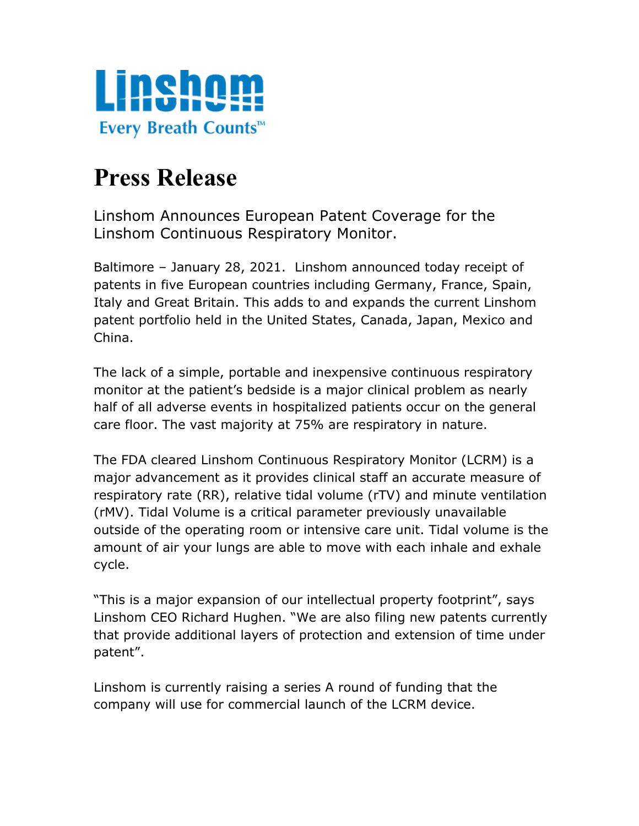

## **Press Release**

Linshom Announces European Patent Coverage for the Linshom Continuous Respiratory Monitor.

Baltimore – January 28, 2021. Linshom announced today receipt of patents in five European countries including Germany, France, Spain, Italy and Great Britain. This adds to and expands the current Linshom patent portfolio held in the United States, Canada, Japan, Mexico and China.

The lack of a simple, portable and inexpensive continuous respiratory monitor at the patient's bedside is a major clinical problem as nearly half of all adverse events in hospitalized patients occur on the general care floor. The vast majority at 75% are respiratory in nature.

The FDA cleared Linshom Continuous Respiratory Monitor (LCRM) is a major advancement as it provides clinical staff an accurate measure of respiratory rate (RR), relative tidal volume (rTV) and minute ventilation (rMV). Tidal Volume is a critical parameter previously unavailable outside of the operating room or intensive care unit. Tidal volume is the amount of air your lungs are able to move with each inhale and exhale cycle.

"This is a major expansion of our intellectual property footprint", says Linshom CEO Richard Hughen. "We are also filing new patents currently that provide additional layers of protection and extension of time under patent".

Linshom is currently raising a series A round of funding that the company will use for commercial launch of the LCRM device.